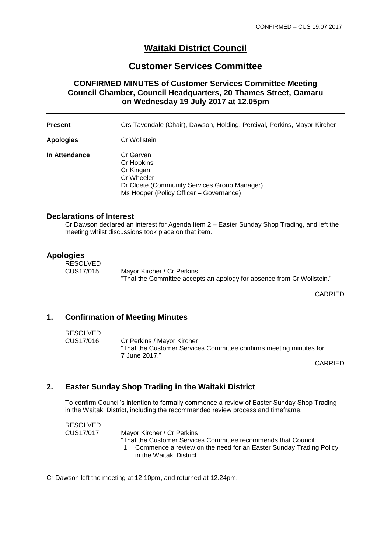# **Waitaki District Council**

# **Customer Services Committee**

## **CONFIRMED MINUTES of Customer Services Committee Meeting Council Chamber, Council Headquarters, 20 Thames Street, Oamaru on Wednesday 19 July 2017 at 12.05pm**

**Present** Crs Tavendale (Chair), Dawson, Holding, Percival, Perkins, Mayor Kircher

**Apologies** Cr Wollstein

**In Attendance Cr Garvan** Cr Hopkins Cr Kingan Cr Wheeler Dr Cloete (Community Services Group Manager) Ms Hooper (Policy Officer – Governance)

#### **Declarations of Interest**

Cr Dawson declared an interest for Agenda Item 2 – Easter Sunday Shop Trading, and left the meeting whilst discussions took place on that item.

#### **Apologies**

RESOLVED CUS17/015 Mayor Kircher / Cr Perkins

"That the Committee accepts an apology for absence from Cr Wollstein."

CARRIED

## **1. Confirmation of Meeting Minutes**

RESOLVED

CUS17/016 Cr Perkins / Mayor Kircher "That the Customer Services Committee confirms meeting minutes for 7 June 2017."

CARRIED

# **2. Easter Sunday Shop Trading in the Waitaki District**

To confirm Council's intention to formally commence a review of Easter Sunday Shop Trading in the Waitaki District, including the recommended review process and timeframe.

RESOLVED CUS17/017 Mayor Kircher / Cr Perkins "That the Customer Services Committee recommends that Council: 1. Commence a review on the need for an Easter Sunday Trading Policy in the Waitaki District

Cr Dawson left the meeting at 12.10pm, and returned at 12.24pm.